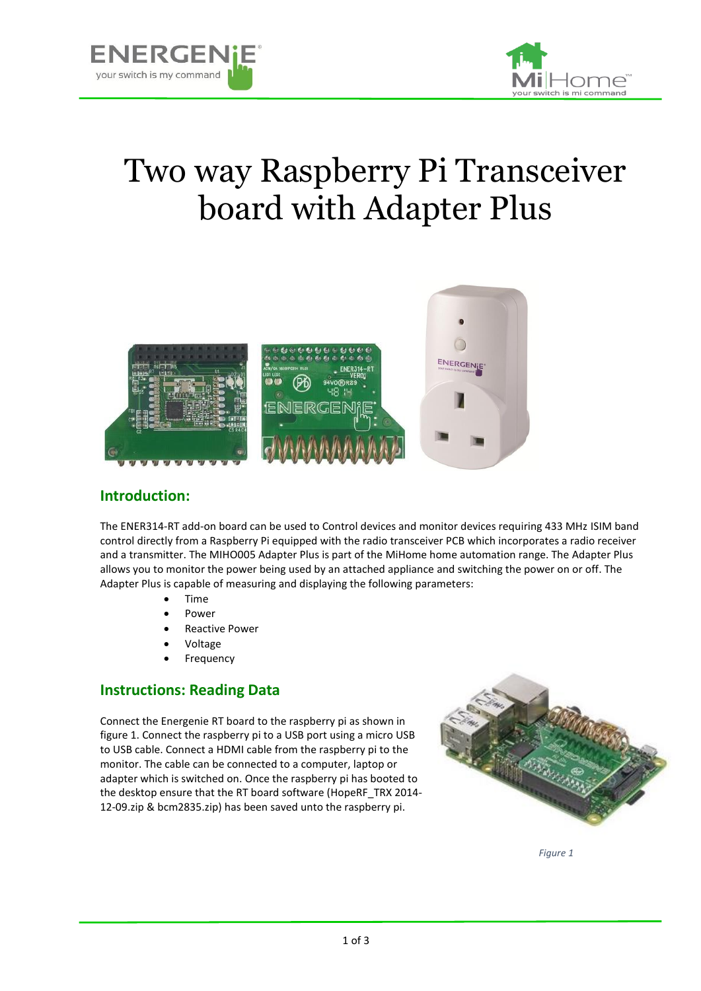



# Two way Raspberry Pi Transceiver board with Adapter Plus



#### **Introduction:**

The ENER314-RT add-on board can be used to Control devices and monitor devices requiring 433 MHz ISIM band control directly from a Raspberry Pi equipped with the radio transceiver PCB which incorporates a radio receiver and a transmitter. The MIHO005 Adapter Plus is part of the MiHome home automation range. The Adapter Plus allows you to monitor the power being used by an attached appliance and switching the power on or off. The Adapter Plus is capable of measuring and displaying the following parameters:

- Time
- Power
- Reactive Power
- Voltage
- Frequency

#### **Instructions: Reading Data**

Connect the Energenie RT board to the raspberry pi as shown in figure 1. Connect the raspberry pi to a USB port using a micro USB to USB cable. Connect a HDMI cable from the raspberry pi to the monitor. The cable can be connected to a computer, laptop or adapter which is switched on. Once the raspberry pi has booted to the desktop ensure that the RT board software (HopeRF\_TRX 2014- 12-09.zip & bcm2835.zip) has been saved unto the raspberry pi.



*Figure 1*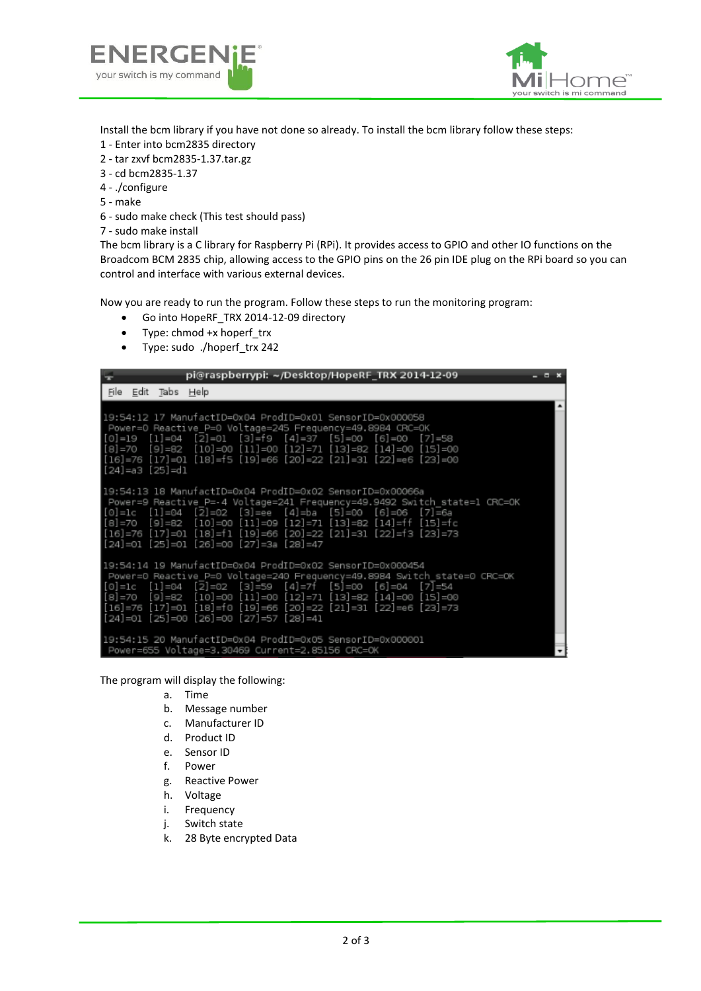



Install the bcm library if you have not done so already. To install the bcm library follow these steps:

- 1 Enter into bcm2835 directory
- 2 tar zxvf bcm2835-1.37.tar.gz
- 3 cd bcm2835-1.37
- 4 ./configure
- 5 make
- 6 sudo make check (This test should pass)
- 7 sudo make install

The bcm library is a C library for Raspberry Pi (RPi). It provides access to GPIO and other IO functions on the Broadcom BCM 2835 chip, allowing access to the GPIO pins on the 26 pin IDE plug on the RPi board so you can control and interface with various external devices.

Now you are ready to run the program. Follow these steps to run the monitoring program:

- Go into HopeRF\_TRX 2014-12-09 directory
- Type: chmod +x hoperf trx
- Type: sudo ./hoperf\_trx 242

| pi@raspberrypi: ~/Desktop/HopeRF_TRX 2014-12-09<br>÷                                                                                                                                                                                                                                                                                                                                                                                  | $  \times$ |
|---------------------------------------------------------------------------------------------------------------------------------------------------------------------------------------------------------------------------------------------------------------------------------------------------------------------------------------------------------------------------------------------------------------------------------------|------------|
| File Edit Tabs Help                                                                                                                                                                                                                                                                                                                                                                                                                   |            |
| 19:54:12 17 ManufactID=0x04 ProdID=0x01 SensorID=0x000058<br>Power=0 Reactive P=0 Voltage=245 Frequency=49.8984 CRC=OK<br>[0]=19 [1]=04 [2]=01 [3]=f9 [4]=37 [5]=00 [6]=00 [7]=58<br>[8]=70 [9]=82 [10]=00 [11]=00 [12]=71 [13]=82 [14]=00 [15]=00<br> [16]=76 [17]=01 [18]=f5 [19]=66 [20]=22 [21]=31 [22]=e6 [23]=00<br>[24]=a3 [25]=d1                                                                                             |            |
| 19:54:13 18 ManufactID=0x04 ProdID=0x02 SensorID=0x00066a<br>Power=9 Reactive P=-4 Voltage=241 Frequency=49.9492 Switch state=1 CRC=OK<br> [0]=1c [1]=04 [2]=02 [3]=ee [4]=ba [5]=00 [6]=06 [7]=6a<br>[8]=70 [9]=82 [10]=00 [11]=09 [12]=71 [13]=82 [14]=ff [15]=fc<br>[16]=76 [17]=01 [18]=f1 [19]=66 [20]=22 [21]=31 [22]=f3 [23]=73<br>[24]=01 [25]=01 [26]=00 [27]=3a [28]=47                                                     |            |
| 19:54:14 19 ManufactID=0x04 ProdID=0x02 SensorID=0x000454<br>Power=0 Reactive P=0 Voltage=240 Frequency=49.8984 Switch state=0 CRC=OK<br>$[0] = 1c$ $[1] = 04$ $[2] = 02$ $[3] = 59$ $[4] = 7f$ $[5] = 00$ $[6] = 04$ $[7] = 54$<br> [8]=70 [9]=82 [10]=00 [11]=00 [12]=71 [13]=82 [14]=00 [15]=00<br> [16]=76 [17]=01 [18]=f0 [19]=66 [20]=22 [21]=31 [22]=e6 [23]=73<br>$[24] = 01$ $[25] = 00$ $[26] = 00$ $[27] = 57$ $[28] = 41$ |            |
| l9:54:15 20 ManufactID=0x04 ProdID=0x05 SensorID=0x000001<br>Power=655 Voltage=3.30469 Current=2.85156 CRC=OK                                                                                                                                                                                                                                                                                                                         |            |

The program will display the following:

- a. Time
- b. Message number
- c. Manufacturer ID
- d. Product ID
- e. Sensor ID
- f. Power
- g. Reactive Power
- h. Voltage
- i. Frequency
- j. Switch state
- k. 28 Byte encrypted Data